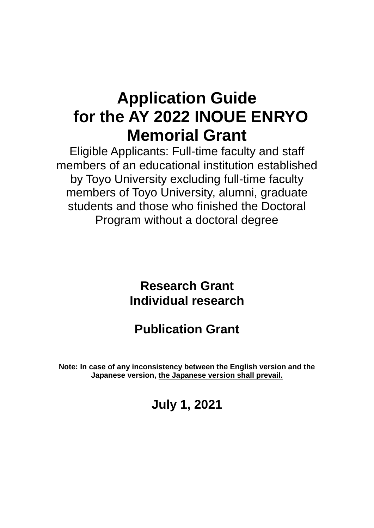# **Application Guide for the AY 2022 INOUE ENRYO Memorial Grant**

Eligible Applicants: Full-time faculty and staff members of an educational institution established by Toyo University excluding full-time faculty members of Toyo University, alumni, graduate students and those who finished the Doctoral Program without a doctoral degree

> **Research Grant Individual research**

**Publication Grant**

**Note: In case of any inconsistency between the English version and the Japanese version, the Japanese version shall prevail.**

**July 1, 2021**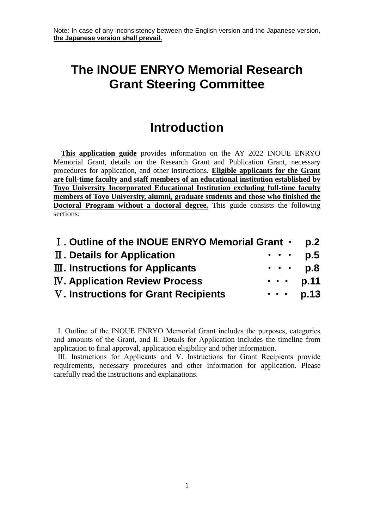## **The INOUE ENRYO Memorial Research Grant Steering Committee**

## **Introduction**

**This application guide** provides information on the AY 2022 INOUE ENRYO Memorial Grant, details on the Research Grant and Publication Grant, necessary procedures for application, and other instructions. **Eligible applicants for the Grant are full-time faculty and staff members of an educational institution established by Toyo University Incorporated Educational Institution excluding full-time faculty members of Toyo University, alumni, graduate students and those who finished the Doctoral Program without a doctoral degree.** This guide consists the following sections:

| I. Outline of the INOUE ENRYO Memorial Grant . |                                                                               | p <sub>1</sub> 2 |
|------------------------------------------------|-------------------------------------------------------------------------------|------------------|
| II. Details for Application                    | $\begin{array}{cccccccccc} \bullet & \bullet & \bullet & \bullet \end{array}$ | p.5              |
| <b>III. Instructions for Applicants</b>        | $\bullet$ , $\bullet$ , $\bullet$ .                                           | p.8              |
| <b>IV. Application Review Process</b>          | $\cdots$ p.11                                                                 |                  |
| V. Instructions for Grant Recipients           | $\begin{array}{cccccccccc} \bullet & \bullet & \bullet & \bullet \end{array}$ | p.13             |

Ⅰ. Outline of the INOUE ENRYO Memorial Grant includes the purposes, categories and amounts of the Grant, and Ⅱ. Details for Application includes the timeline from application to final approval, application eligibility and other information.

Ⅲ. Instructions for Applicants and Ⅴ. Instructions for Grant Recipients provide requirements, necessary procedures and other information for application. Please carefully read the instructions and explanations.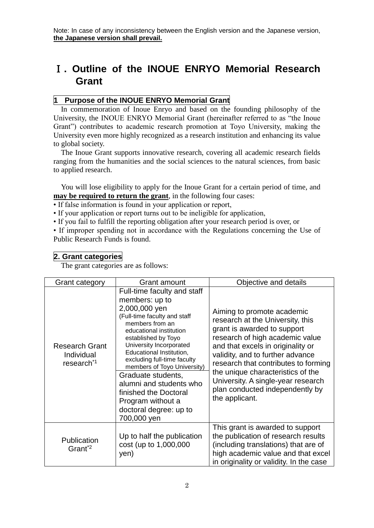## Ⅰ**. Outline of the INOUE ENRYO Memorial Research Grant**

## **1 Purpose of the INOUE ENRYO Memorial Grant**

In commemoration of Inoue Enryo and based on the founding philosophy of the University, the INOUE ENRYO Memorial Grant (hereinafter referred to as "the Inoue Grant") contributes to academic research promotion at Toyo University, making the University even more highly recognized as a research institution and enhancing its value to global society.

The Inoue Grant supports innovative research, covering all academic research fields ranging from the humanities and the social sciences to the natural sciences, from basic to applied research.

You will lose eligibility to apply for the Inoue Grant for a certain period of time, and **may be required to return the grant**, in the following four cases:

• If false information is found in your application or report,

• If your application or report turns out to be ineligible for application,

• If you fail to fulfill the reporting obligation after your research period is over, or

• If improper spending not in accordance with the Regulations concerning the Use of Public Research Funds is found.

## **2. Grant categories**

The grant categories are as follows:

| <b>Grant category</b>                                         | Grant amount                                                                                                                                                                                                                                                                                                                                                                                                                     | Objective and details                                                                                                                                                                                                                                                                                                                                                             |
|---------------------------------------------------------------|----------------------------------------------------------------------------------------------------------------------------------------------------------------------------------------------------------------------------------------------------------------------------------------------------------------------------------------------------------------------------------------------------------------------------------|-----------------------------------------------------------------------------------------------------------------------------------------------------------------------------------------------------------------------------------------------------------------------------------------------------------------------------------------------------------------------------------|
| <b>Research Grant</b><br>Individual<br>research <sup>*1</sup> | Full-time faculty and staff<br>members: up to<br>2,000,000 yen<br>(Full-time faculty and staff<br>members from an<br>educational institution<br>established by Toyo<br>University Incorporated<br>Educational Institution,<br>excluding full-time faculty<br>members of Toyo University)<br>Graduate students,<br>alumni and students who<br>finished the Doctoral<br>Program without a<br>doctoral degree: up to<br>700,000 yen | Aiming to promote academic<br>research at the University, this<br>grant is awarded to support<br>research of high academic value<br>and that excels in originality or<br>validity, and to further advance<br>research that contributes to forming<br>the unique characteristics of the<br>University. A single-year research<br>plan conducted independently by<br>the applicant. |
| Publication<br>Grant <sup>*2</sup>                            | Up to half the publication<br>cost (up to 1,000,000<br>yen)                                                                                                                                                                                                                                                                                                                                                                      | This grant is awarded to support<br>the publication of research results<br>(including translations) that are of<br>high academic value and that excel<br>in originality or validity. In the case                                                                                                                                                                                  |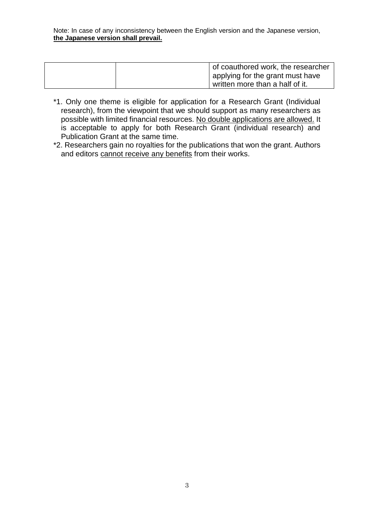|  | of coauthored work, the researcher |
|--|------------------------------------|
|  | applying for the grant must have   |
|  | written more than a half of it.    |

- \*1. Only one theme is eligible for application for a Research Grant (Individual research), from the viewpoint that we should support as many researchers as possible with limited financial resources. No double applications are allowed. It is acceptable to apply for both Research Grant (individual research) and Publication Grant at the same time.
- \*2. Researchers gain no royalties for the publications that won the grant. Authors and editors cannot receive any benefits from their works.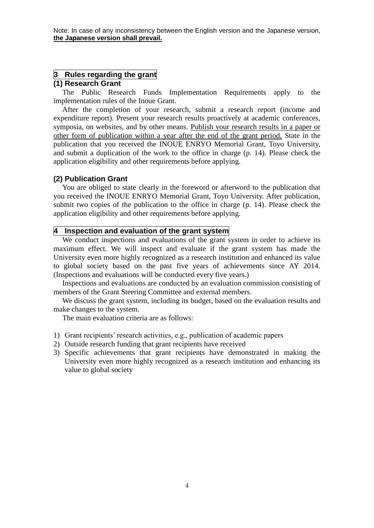#### **3 Rules regarding the grant**

## **(1) Research Grant**

The Public Research Funds Implementation Requirements apply to the implementation rules of the Inoue Grant.

After the completion of your research, submit a research report (income and expenditure report). Present your research results proactively at academic conferences, symposia, on websites, and by other means. Publish your research results in a paper or other form of publication within a year after the end of the grant period. State in the publication that you received the INOUE ENRYO Memorial Grant, Toyo University, and submit a duplication of the work to the office in charge (p. 14). Please check the application eligibility and other requirements before applying.

#### **(2) Publication Grant**

You are obliged to state clearly in the foreword or afterword to the publication that you received the INOUE ENRYO Memorial Grant, Toyo University. After publication, submit two copies of the publication to the office in charge (p. 14). Please check the application eligibility and other requirements before applying.

#### **4 Inspection and evaluation of the grant system**

We conduct inspections and evaluations of the grant system in order to achieve its maximum effect. We will inspect and evaluate if the grant system has made the University even more highly recognized as a research institution and enhanced its value to global society based on the past five years of achievements since AY 2014. (Inspections and evaluations will be conducted every five years.)

Inspections and evaluations are conducted by an evaluation commission consisting of members of the Grant Steering Committee and external members.

We discuss the grant system, including its budget, based on the evaluation results and make changes to the system.

The main evaluation criteria are as follows:

- 1) Grant recipients' research activities, e.g., publication of academic papers
- 2) Outside research funding that grant recipients have received
- 3) Specific achievements that grant recipients have demonstrated in making the University even more highly recognized as a research institution and enhancing its value to global society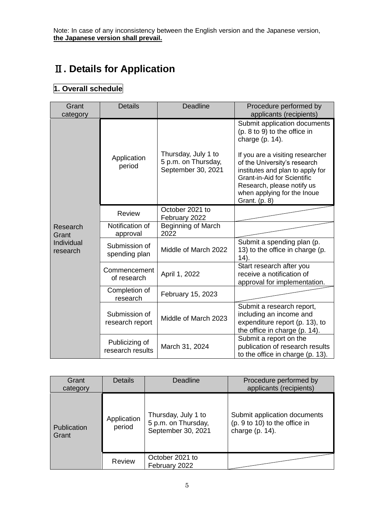## Ⅱ**. Details for Application**

## **1. Overall schedule**

| Grant<br>category                           | <b>Details</b>                     | <b>Deadline</b>                                                  | Procedure performed by<br>applicants (recipients)                                                                                                                                                                                                                                                              |
|---------------------------------------------|------------------------------------|------------------------------------------------------------------|----------------------------------------------------------------------------------------------------------------------------------------------------------------------------------------------------------------------------------------------------------------------------------------------------------------|
| Research<br>Grant<br>Individual<br>research | Application<br>period              | Thursday, July 1 to<br>5 p.m. on Thursday,<br>September 30, 2021 | Submit application documents<br>(p. 8 to 9) to the office in<br>charge $(p. 14)$ .<br>If you are a visiting researcher<br>of the University's research<br>institutes and plan to apply for<br><b>Grant-in-Aid for Scientific</b><br>Research, please notify us<br>when applying for the Inoue<br>Grant. (p. 8) |
|                                             | <b>Review</b>                      | October 2021 to<br>February 2022                                 |                                                                                                                                                                                                                                                                                                                |
|                                             | Notification of<br>approval        | <b>Beginning of March</b><br>2022                                |                                                                                                                                                                                                                                                                                                                |
|                                             | Submission of<br>spending plan     | Middle of March 2022                                             | Submit a spending plan (p.<br>13) to the office in charge (p.<br>14).                                                                                                                                                                                                                                          |
|                                             | Commencement<br>of research        | April 1, 2022                                                    | Start research after you<br>receive a notification of<br>approval for implementation.                                                                                                                                                                                                                          |
|                                             | Completion of<br>research          | February 15, 2023                                                |                                                                                                                                                                                                                                                                                                                |
|                                             | Submission of<br>research report   | Middle of March 2023                                             | Submit a research report,<br>including an income and<br>expenditure report (p. 13), to<br>the office in charge (p. 14).                                                                                                                                                                                        |
|                                             | Publicizing of<br>research results | March 31, 2024                                                   | Submit a report on the<br>publication of research results<br>to the office in charge (p. 13).                                                                                                                                                                                                                  |

| Grant<br>category    | <b>Details</b>        | Deadline                                                         | Procedure performed by<br>applicants (recipients)                                   |
|----------------------|-----------------------|------------------------------------------------------------------|-------------------------------------------------------------------------------------|
| Publication<br>Grant | Application<br>period | Thursday, July 1 to<br>5 p.m. on Thursday,<br>September 30, 2021 | Submit application documents<br>(p. 9 to 10) to the office in<br>charge $(p. 14)$ . |
|                      | <b>Review</b>         | October 2021 to<br>February 2022                                 |                                                                                     |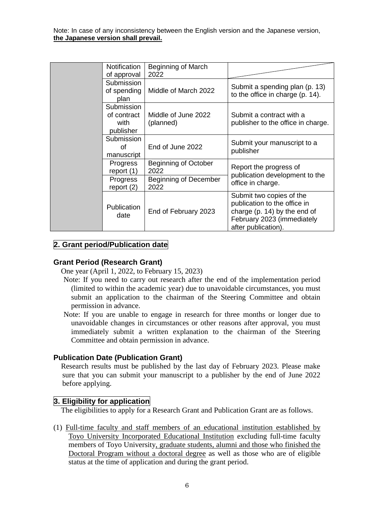| <b>Notification</b><br>of approval             | Beginning of March<br>2022                                   |                                                                                                                                               |
|------------------------------------------------|--------------------------------------------------------------|-----------------------------------------------------------------------------------------------------------------------------------------------|
| Submission<br>of spending<br>plan              | Middle of March 2022                                         | Submit a spending plan (p. 13)<br>to the office in charge (p. 14).                                                                            |
| Submission<br>of contract<br>with<br>publisher | Middle of June 2022<br>(planned)                             | Submit a contract with a<br>publisher to the office in charge.                                                                                |
| Submission<br>of<br>manuscript                 | End of June 2022                                             | Submit your manuscript to a<br>publisher                                                                                                      |
| Progress<br>report $(1)$<br>Progress           | Beginning of October<br>2022<br><b>Beginning of December</b> | Report the progress of<br>publication development to the<br>office in charge.                                                                 |
| report $(2)$                                   | 2022                                                         |                                                                                                                                               |
| Publication<br>date                            | End of February 2023                                         | Submit two copies of the<br>publication to the office in<br>charge (p. 14) by the end of<br>February 2023 (immediately<br>after publication). |

## **2. Grant period/Publication date**

#### **Grant Period (Research Grant)**

One year (April 1, 2022, to February 15, 2023)

- Note: If you need to carry out research after the end of the implementation period (limited to within the academic year) due to unavoidable circumstances, you must submit an application to the chairman of the Steering Committee and obtain permission in advance.
- Note: If you are unable to engage in research for three months or longer due to unavoidable changes in circumstances or other reasons after approval, you must immediately submit a written explanation to the chairman of the Steering Committee and obtain permission in advance.

#### **Publication Date (Publication Grant)**

Research results must be published by the last day of February 2023. Please make sure that you can submit your manuscript to a publisher by the end of June 2022 before applying.

## **3. Eligibility for application**

The eligibilities to apply for a Research Grant and Publication Grant are as follows.

(1) Full-time faculty and staff members of an educational institution established by Toyo University Incorporated Educational Institution excluding full-time faculty members of Toyo University, graduate students, alumni and those who finished the Doctoral Program without a doctoral degree as well as those who are of eligible status at the time of application and during the grant period.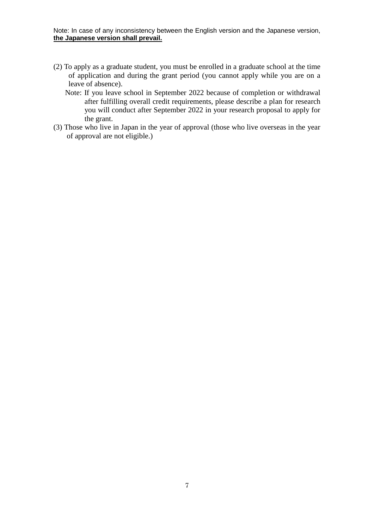- (2) To apply as a graduate student, you must be enrolled in a graduate school at the time of application and during the grant period (you cannot apply while you are on a leave of absence).
	- Note: If you leave school in September 2022 because of completion or withdrawal after fulfilling overall credit requirements, please describe a plan for research you will conduct after September 2022 in your research proposal to apply for the grant.
- (3) Those who live in Japan in the year of approval (those who live overseas in the year of approval are not eligible.)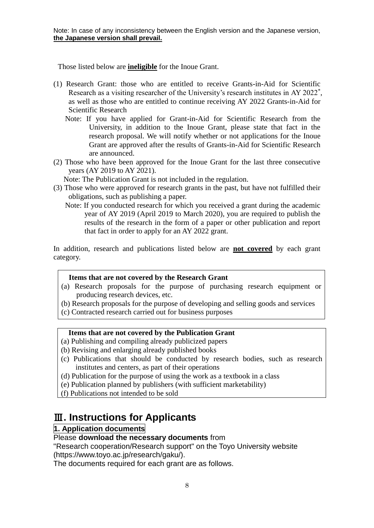Those listed below are **ineligible** for the Inoue Grant.

- (1) Research Grant: those who are entitled to receive Grants-in-Aid for Scientific Research as a visiting researcher of the University's research institutes in AY 2022<sup>\*</sup>, as well as those who are entitled to continue receiving AY 2022 Grants-in-Aid for Scientific Research
	- Note: If you have applied for Grant-in-Aid for Scientific Research from the University, in addition to the Inoue Grant, please state that fact in the research proposal. We will notify whether or not applications for the Inoue Grant are approved after the results of Grants-in-Aid for Scientific Research are announced.
- (2) Those who have been approved for the Inoue Grant for the last three consecutive years (AY 2019 to AY 2021).

Note: The Publication Grant is not included in the regulation.

- (3) Those who were approved for research grants in the past, but have not fulfilled their obligations, such as publishing a paper.
	- Note: If you conducted research for which you received a grant during the academic year of AY 2019 (April 2019 to March 2020), you are required to publish the results of the research in the form of a paper or other publication and report that fact in order to apply for an AY 2022 grant.

In addition, research and publications listed below are **not covered** by each grant category.

## **Items that are not covered by the Research Grant**

- (a) Research proposals for the purpose of purchasing research equipment or producing research devices, etc.
- (b) Research proposals for the purpose of developing and selling goods and services
- (c) Contracted research carried out for business purposes

## **Items that are not covered by the Publication Grant**

- (a) Publishing and compiling already publicized papers
- (b) Revising and enlarging already published books
- (c) Publications that should be conducted by research bodies, such as research institutes and centers, as part of their operations
- (d) Publication for the purpose of using the work as a textbook in a class
- (e) Publication planned by publishers (with sufficient marketability)
- (f) Publications not intended to be sold

## Ⅲ**. Instructions for Applicants**

## **1. Application documents**

## Please **download the necessary documents** from

"Research cooperation/Research support" on the Toyo University website (https://www.toyo.ac.jp/research/gaku/).

The documents required for each grant are as follows.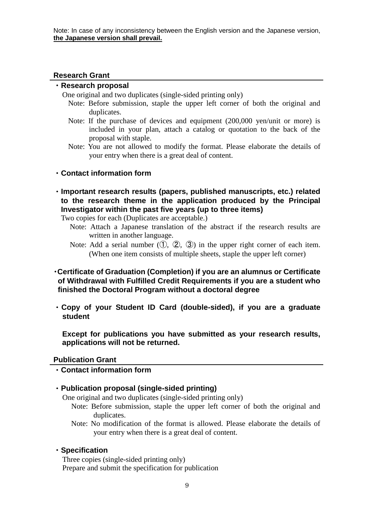## **Research Grant**

## ・**Research proposal**

One original and two duplicates (single-sided printing only)

- Note: Before submission, staple the upper left corner of both the original and duplicates.
- Note: If the purchase of devices and equipment (200,000 yen/unit or more) is included in your plan, attach a catalog or quotation to the back of the proposal with staple.
- Note: You are not allowed to modify the format. Please elaborate the details of your entry when there is a great deal of content.

## ・**Contact information form**

・**Important research results (papers, published manuscripts, etc.) related to the research theme in the application produced by the Principal Investigator within the past five years (up to three items)**

Two copies for each (Duplicates are acceptable.)

- Note: Attach a Japanese translation of the abstract if the research results are written in another language.
- Note: Add a serial number  $(①, ②, ③)$  in the upper right corner of each item. (When one item consists of multiple sheets, staple the upper left corner)

## ・**Certificate of Graduation (Completion) if you are an alumnus or Certificate of Withdrawal with Fulfilled Credit Requirements if you are a student who finished the Doctoral Program without a doctoral degree**

・**Copy of your Student ID Card (double-sided), if you are a graduate student**

**Except for publications you have submitted as your research results, applications will not be returned.**

## **Publication Grant**

・**Contact information form**

## ・**Publication proposal (single-sided printing)**

One original and two duplicates (single-sided printing only)

- Note: Before submission, staple the upper left corner of both the original and duplicates.
- Note: No modification of the format is allowed. Please elaborate the details of your entry when there is a great deal of content.

## ・**Specification**

Three copies (single-sided printing only) Prepare and submit the specification for publication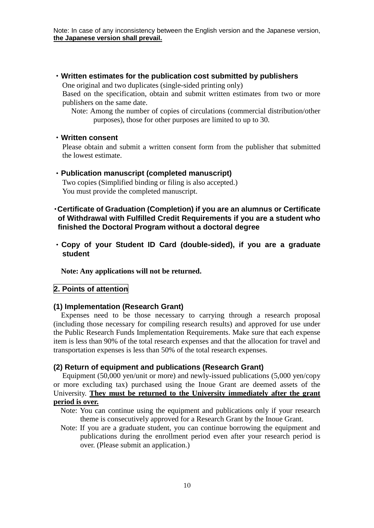・**Written estimates for the publication cost submitted by publishers**

One original and two duplicates (single-sided printing only)

Based on the specification, obtain and submit written estimates from two or more publishers on the same date.

Note: Among the number of copies of circulations (commercial distribution/other purposes), those for other purposes are limited to up to 30.

#### ・**Written consent**

Please obtain and submit a written consent form from the publisher that submitted the lowest estimate.

## ・**Publication manuscript (completed manuscript)**

Two copies (Simplified binding or filing is also accepted.) You must provide the completed manuscript.

## ・**Certificate of Graduation (Completion) if you are an alumnus or Certificate of Withdrawal with Fulfilled Credit Requirements if you are a student who finished the Doctoral Program without a doctoral degree**

・**Copy of your Student ID Card (double-sided), if you are a graduate student**

**Note: Any applications will not be returned.**

## **2. Points of attention**

## **(1) Implementation (Research Grant)**

Expenses need to be those necessary to carrying through a research proposal (including those necessary for compiling research results) and approved for use under the Public Research Funds Implementation Requirements. Make sure that each expense item is less than 90% of the total research expenses and that the allocation for travel and transportation expenses is less than 50% of the total research expenses.

## **(2) Return of equipment and publications (Research Grant)**

Equipment (50,000 yen/unit or more) and newly-issued publications (5,000 yen/copy or more excluding tax) purchased using the Inoue Grant are deemed assets of the University. **They must be returned to the University immediately after the grant period is over.**

- Note: You can continue using the equipment and publications only if your research theme is consecutively approved for a Research Grant by the Inoue Grant.
- Note: If you are a graduate student, you can continue borrowing the equipment and publications during the enrollment period even after your research period is over. (Please submit an application.)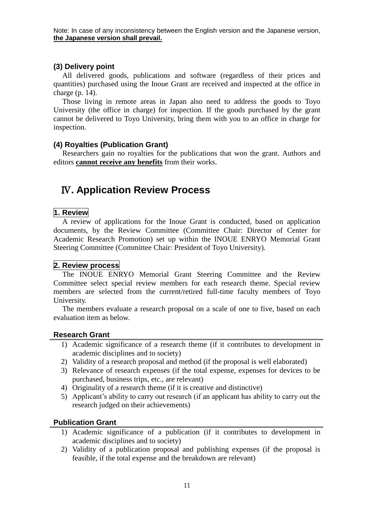## **(3) Delivery point**

All delivered goods, publications and software (regardless of their prices and quantities) purchased using the Inoue Grant are received and inspected at the office in charge (p. 14).

Those living in remote areas in Japan also need to address the goods to Toyo University (the office in charge) for inspection. If the goods purchased by the grant cannot be delivered to Toyo University, bring them with you to an office in charge for inspection.

## **(4) Royalties (Publication Grant)**

Researchers gain no royalties for the publications that won the grant. Authors and editors **cannot receive any benefits** from their works.

## Ⅳ**. Application Review Process**

## **1. Review**

A review of applications for the Inoue Grant is conducted, based on application documents, by the Review Committee (Committee Chair: Director of Center for Academic Research Promotion) set up within the INOUE ENRYO Memorial Grant Steering Committee (Committee Chair: President of Toyo University).

## **2. Review process**

The INOUE ENRYO Memorial Grant Steering Committee and the Review Committee select special review members for each research theme. Special review members are selected from the current/retired full-time faculty members of Toyo University.

The members evaluate a research proposal on a scale of one to five, based on each evaluation item as below.

## **Research Grant**

- 1) Academic significance of a research theme (if it contributes to development in academic disciplines and to society)
- 2) Validity of a research proposal and method (if the proposal is well elaborated)
- 3) Relevance of research expenses (if the total expense, expenses for devices to be purchased, business trips, etc., are relevant)
- 4) Originality of a research theme (if it is creative and distinctive)
- 5) Applicant's ability to carry out research (if an applicant has ability to carry out the research judged on their achievements)

## **Publication Grant**

- 1) Academic significance of a publication (if it contributes to development in academic disciplines and to society)
- 2) Validity of a publication proposal and publishing expenses (if the proposal is feasible, if the total expense and the breakdown are relevant)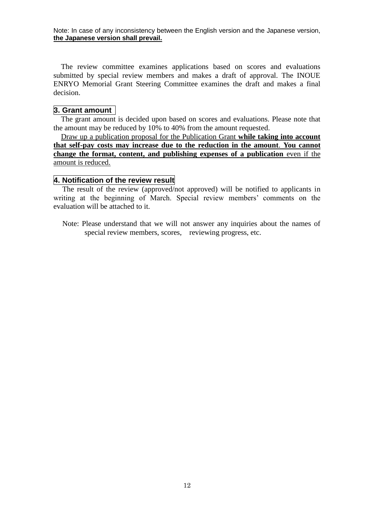The review committee examines applications based on scores and evaluations submitted by special review members and makes a draft of approval. The INOUE ENRYO Memorial Grant Steering Committee examines the draft and makes a final decision.

## **3. Grant amount**

The grant amount is decided upon based on scores and evaluations. Please note that the amount may be reduced by  $10\%$  to 40% from the amount requested.

Draw up a publication proposal for the Publication Grant **while taking into account that self-pay costs may increase due to the reduction in the amount**. **You cannot change the format, content, and publishing expenses of a publication** even if the amount is reduced.

#### **4. Notification of the review result**

The result of the review (approved/not approved) will be notified to applicants in writing at the beginning of March. Special review members' comments on the evaluation will be attached to it.

Note: Please understand that we will not answer any inquiries about the names of special review members, scores, reviewing progress, etc.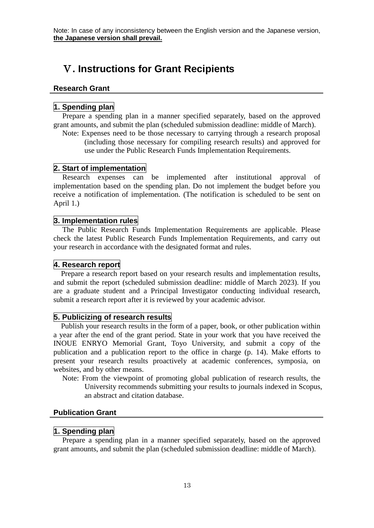## Ⅴ**. Instructions for Grant Recipients**

#### **Research Grant**

## **1. Spending plan**

Prepare a spending plan in a manner specified separately, based on the approved grant amounts, and submit the plan (scheduled submission deadline: middle of March).

Note: Expenses need to be those necessary to carrying through a research proposal (including those necessary for compiling research results) and approved for use under the Public Research Funds Implementation Requirements.

## **2. Start of implementation**

Research expenses can be implemented after institutional approval of implementation based on the spending plan. Do not implement the budget before you receive a notification of implementation. (The notification is scheduled to be sent on April 1.)

## **3. Implementation rules**

The Public Research Funds Implementation Requirements are applicable. Please check the latest Public Research Funds Implementation Requirements, and carry out your research in accordance with the designated format and rules.

### **4. Research report**

Prepare a research report based on your research results and implementation results, and submit the report (scheduled submission deadline: middle of March 2023). If you are a graduate student and a Principal Investigator conducting individual research, submit a research report after it is reviewed by your academic advisor.

## **5. Publicizing of research results**

Publish your research results in the form of a paper, book, or other publication within a year after the end of the grant period. State in your work that you have received the INOUE ENRYO Memorial Grant, Toyo University, and submit a copy of the publication and a publication report to the office in charge (p. 14). Make efforts to present your research results proactively at academic conferences, symposia, on websites, and by other means.

Note: From the viewpoint of promoting global publication of research results, the University recommends submitting your results to journals indexed in Scopus, an abstract and citation database.

#### **Publication Grant**

#### **1. Spending plan**

Prepare a spending plan in a manner specified separately, based on the approved grant amounts, and submit the plan (scheduled submission deadline: middle of March).